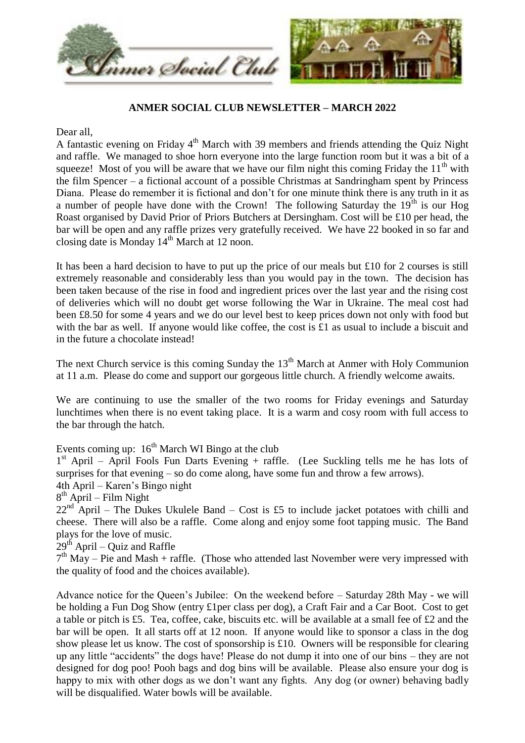

## **ANMER SOCIAL CLUB NEWSLETTER – MARCH 2022**

Dear all,

A fantastic evening on Friday 4<sup>th</sup> March with 39 members and friends attending the Quiz Night and raffle. We managed to shoe horn everyone into the large function room but it was a bit of a squeeze! Most of you will be aware that we have our film night this coming Friday the  $11<sup>th</sup>$  with the film Spencer – a fictional account of a possible Christmas at Sandringham spent by Princess Diana. Please do remember it is fictional and don't for one minute think there is any truth in it as a number of people have done with the Crown! The following Saturday the  $19<sup>th</sup>$  is our Hog Roast organised by David Prior of Priors Butchers at Dersingham. Cost will be £10 per head, the bar will be open and any raffle prizes very gratefully received. We have 22 booked in so far and closing date is Monday 14<sup>th</sup> March at 12 noon.

It has been a hard decision to have to put up the price of our meals but £10 for 2 courses is still extremely reasonable and considerably less than you would pay in the town. The decision has been taken because of the rise in food and ingredient prices over the last year and the rising cost of deliveries which will no doubt get worse following the War in Ukraine. The meal cost had been £8.50 for some 4 years and we do our level best to keep prices down not only with food but with the bar as well. If anyone would like coffee, the cost is  $\pounds 1$  as usual to include a biscuit and in the future a chocolate instead!

The next Church service is this coming Sunday the  $13<sup>th</sup>$  March at Anmer with Holy Communion at 11 a.m. Please do come and support our gorgeous little church. A friendly welcome awaits.

We are continuing to use the smaller of the two rooms for Friday evenings and Saturday lunchtimes when there is no event taking place. It is a warm and cosy room with full access to the bar through the hatch.

Events coming up:  $16<sup>th</sup>$  March WI Bingo at the club

1<sup>st</sup> April – April Fools Fun Darts Evening + raffle. (Lee Suckling tells me he has lots of surprises for that evening – so do come along, have some fun and throw a few arrows).

4th April – Karen's Bingo night

8<sup>th</sup> April – Film Night

 $22<sup>nd</sup>$  April – The Dukes Ukulele Band – Cost is £5 to include jacket potatoes with chilli and cheese. There will also be a raffle. Come along and enjoy some foot tapping music. The Band plays for the love of music.

 $29<sup>th</sup>$  April – Quiz and Raffle

 $7<sup>th</sup>$  May – Pie and Mash + raffle. (Those who attended last November were very impressed with the quality of food and the choices available).

Advance notice for the Queen's Jubilee: On the weekend before – Saturday 28th May - we will be holding a Fun Dog Show (entry £1per class per dog), a Craft Fair and a Car Boot. Cost to get a table or pitch is £5. Tea, coffee, cake, biscuits etc. will be available at a small fee of £2 and the bar will be open. It all starts off at 12 noon. If anyone would like to sponsor a class in the dog show please let us know. The cost of sponsorship is £10. Owners will be responsible for clearing up any little "accidents" the dogs have! Please do not dump it into one of our bins – they are not designed for dog poo! Pooh bags and dog bins will be available. Please also ensure your dog is happy to mix with other dogs as we don't want any fights. Any dog (or owner) behaving badly will be disqualified. Water bowls will be available.